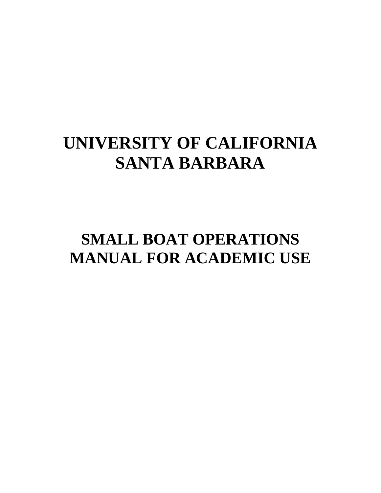# **UNIVERSITY OF CALIFORNIA SANTA BARBARA**

# **SMALL BOAT OPERATIONS MANUAL FOR ACADEMIC USE**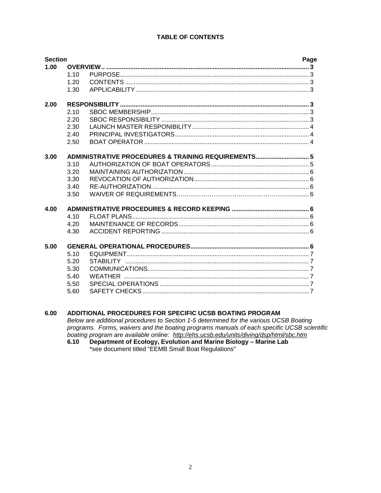### **TABLE OF CONTENTS**

| <b>Section</b> |      |                                                     | Page |
|----------------|------|-----------------------------------------------------|------|
| 1.00           |      |                                                     |      |
|                | 1.10 |                                                     |      |
|                | 1.20 |                                                     |      |
|                | 1.30 |                                                     |      |
| 2.00           |      |                                                     |      |
|                | 2.10 |                                                     |      |
|                | 2.20 |                                                     |      |
|                | 2.30 |                                                     |      |
|                | 2.40 |                                                     |      |
|                | 2.50 |                                                     |      |
| 3.00           |      | ADMINISTRATIVE PROCEDURES & TRAINING REQUIREMENTS 5 |      |
|                | 3.10 |                                                     |      |
|                | 3.20 |                                                     |      |
|                | 3.30 |                                                     |      |
|                | 3.40 |                                                     |      |
|                | 3.50 |                                                     |      |
| 4.00           |      |                                                     |      |
|                | 4.10 |                                                     |      |
|                | 4.20 |                                                     |      |
|                | 4.30 |                                                     |      |
| 5.00           |      |                                                     |      |
|                | 5.10 |                                                     |      |
|                | 5.20 |                                                     |      |
|                | 5.30 |                                                     |      |
|                | 5.40 |                                                     |      |
|                | 5.50 |                                                     |      |
|                | 5.60 |                                                     |      |
|                |      |                                                     |      |

#### $6.00$ ADDITIONAL PROCEDURES FOR SPECIFIC UCSB BOATING PROGRAM

Below are additional procedures to Section 1-5 determined for the various UCSB Boating programs. Forms, waivers and the boating programs manuals of each specific UCSB scientific boating program are available online: http://ehs.ucsb.edu/units/diving/dsp/html/sbc.htm

Department of Ecology, Evolution and Marine Biology - Marine Lab  $6.10$ \*see document titled "EEMB Small Boat Regulations"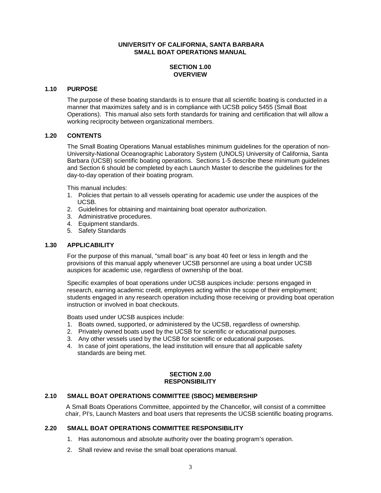#### **UNIVERSITY OF CALIFORNIA, SANTA BARBARA SMALL BOAT OPERATIONS MANUAL**

### **SECTION 1.00 OVERVIEW**

### **1.10 PURPOSE**

The purpose of these boating standards is to ensure that all scientific boating is conducted in a manner that maximizes safety and is in compliance with UCSB policy 5455 (Small Boat Operations). This manual also sets forth standards for training and certification that will allow a working reciprocity between organizational members.

#### **1.20 CONTENTS**

The Small Boating Operations Manual establishes minimum guidelines for the operation of non-University-National Oceanographic Laboratory System (UNOLS) University of California, Santa Barbara (UCSB) scientific boating operations. Sections 1-5 describe these minimum guidelines and Section 6 should be completed by each Launch Master to describe the guidelines for the day-to-day operation of their boating program.

This manual includes:

- 1. Policies that pertain to all vessels operating for academic use under the auspices of the UCSB.
- 2. Guidelines for obtaining and maintaining boat operator authorization.
- 3. Administrative procedures.
- 4. Equipment standards.
- 5. Safety Standards

#### **1.30 APPLICABILITY**

For the purpose of this manual, "small boat" is any boat 40 feet or less in length and the provisions of this manual apply whenever UCSB personnel are using a boat under UCSB auspices for academic use, regardless of ownership of the boat.

Specific examples of boat operations under UCSB auspices include: persons engaged in research, earning academic credit, employees acting within the scope of their employment; students engaged in any research operation including those receiving or providing boat operation instruction or involved in boat checkouts.

Boats used under UCSB auspices include:

- 1. Boats owned, supported, or administered by the UCSB, regardless of ownership.
- 2. Privately owned boats used by the UCSB for scientific or educational purposes.
- 3. Any other vessels used by the UCSB for scientific or educational purposes.
- 4. In case of joint operations, the lead institution will ensure that all applicable safety standards are being met.

#### **SECTION 2.00 RESPONSIBILITY**

#### **2.10 SMALL BOAT OPERATIONS COMMITTEE (SBOC) MEMBERSHIP**

 A Small Boats Operations Committee, appointed by the Chancellor, will consist of a committee chair, PI's, Launch Masters and boat users that represents the UCSB scientific boating programs.

### **2.20 SMALL BOAT OPERATIONS COMMITTEE RESPONSIBILITY**

- 1. Has autonomous and absolute authority over the boating program's operation.
- 2. Shall review and revise the small boat operations manual.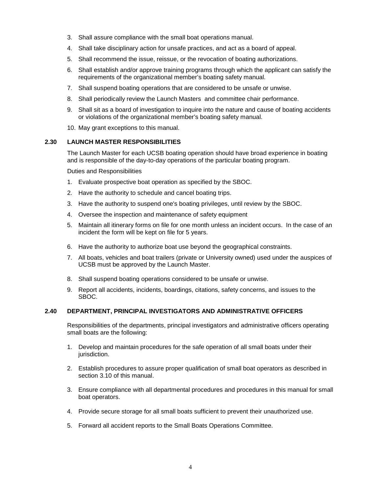- 3. Shall assure compliance with the small boat operations manual.
- 4. Shall take disciplinary action for unsafe practices, and act as a board of appeal.
- 5. Shall recommend the issue, reissue, or the revocation of boating authorizations.
- 6. Shall establish and/or approve training programs through which the applicant can satisfy the requirements of the organizational member's boating safety manual.
- 7. Shall suspend boating operations that are considered to be unsafe or unwise.
- 8. Shall periodically review the Launch Masters and committee chair performance.
- 9. Shall sit as a board of investigation to inquire into the nature and cause of boating accidents or violations of the organizational member's boating safety manual.
- 10. May grant exceptions to this manual.

#### **2.30 LAUNCH MASTER RESPONSIBILITIES**

The Launch Master for each UCSB boating operation should have broad experience in boating and is responsible of the day-to-day operations of the particular boating program.

Duties and Responsibilities

- 1. Evaluate prospective boat operation as specified by the SBOC.
- 2. Have the authority to schedule and cancel boating trips.
- 3. Have the authority to suspend one's boating privileges, until review by the SBOC.
- 4. Oversee the inspection and maintenance of safety equipment
- 5. Maintain all itinerary forms on file for one month unless an incident occurs. In the case of an incident the form will be kept on file for 5 years.
- 6. Have the authority to authorize boat use beyond the geographical constraints.
- 7. All boats, vehicles and boat trailers (private or University owned) used under the auspices of UCSB must be approved by the Launch Master.
- 8. Shall suspend boating operations considered to be unsafe or unwise.
- 9. Report all accidents, incidents, boardings, citations, safety concerns, and issues to the SBOC.

#### **2.40 DEPARTMENT, PRINCIPAL INVESTIGATORS AND ADMINISTRATIVE OFFICERS**

Responsibilities of the departments, principal investigators and administrative officers operating small boats are the following:

- 1. Develop and maintain procedures for the safe operation of all small boats under their jurisdiction.
- 2. Establish procedures to assure proper qualification of small boat operators as described in section 3.10 of this manual.
- 3. Ensure compliance with all departmental procedures and procedures in this manual for small boat operators.
- 4. Provide secure storage for all small boats sufficient to prevent their unauthorized use.
- 5. Forward all accident reports to the Small Boats Operations Committee.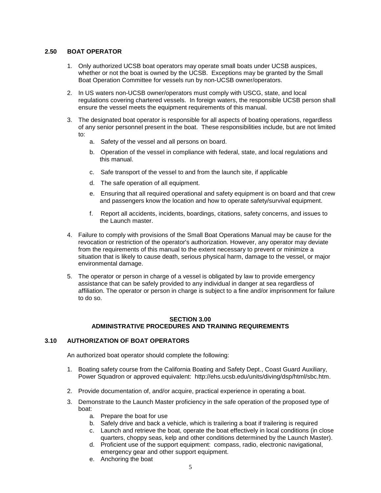### **2.50 BOAT OPERATOR**

- 1. Only authorized UCSB boat operators may operate small boats under UCSB auspices, whether or not the boat is owned by the UCSB. Exceptions may be granted by the Small Boat Operation Committee for vessels run by non-UCSB owner/operators.
- 2. In US waters non-UCSB owner/operators must comply with USCG, state, and local regulations covering chartered vessels. In foreign waters, the responsible UCSB person shall ensure the vessel meets the equipment requirements of this manual.
- 3. The designated boat operator is responsible for all aspects of boating operations, regardless of any senior personnel present in the boat. These responsibilities include, but are not limited to:
	- a. Safety of the vessel and all persons on board.
	- b. Operation of the vessel in compliance with federal, state, and local regulations and this manual.
	- c. Safe transport of the vessel to and from the launch site, if applicable
	- d. The safe operation of all equipment.
	- e. Ensuring that all required operational and safety equipment is on board and that crew and passengers know the location and how to operate safety/survival equipment.
	- f. Report all accidents, incidents, boardings, citations, safety concerns, and issues to the Launch master.
- 4. Failure to comply with provisions of the Small Boat Operations Manual may be cause for the revocation or restriction of the operator's authorization. However, any operator may deviate from the requirements of this manual to the extent necessary to prevent or minimize a situation that is likely to cause death, serious physical harm, damage to the vessel, or major environmental damage.
- 5. The operator or person in charge of a vessel is obligated by law to provide emergency assistance that can be safely provided to any individual in danger at sea regardless of affiliation. The operator or person in charge is subject to a fine and/or imprisonment for failure to do so.

#### **SECTION 3.00 ADMINISTRATIVE PROCEDURES AND TRAINING REQUIREMENTS**

### **3.10 AUTHORIZATION OF BOAT OPERATORS**

An authorized boat operator should complete the following:

- 1. Boating safety course from the California Boating and Safety Dept., Coast Guard Auxiliary, Power Squadron or approved equivalent: http://ehs.ucsb.edu/units/diving/dsp/html/sbc.htm.
- 2. Provide documentation of, and/or acquire, practical experience in operating a boat.
- 3. Demonstrate to the Launch Master proficiency in the safe operation of the proposed type of boat:
	- a. Prepare the boat for use
	- b. Safely drive and back a vehicle, which is trailering a boat if trailering is required
	- c. Launch and retrieve the boat, operate the boat effectively in local conditions (in close quarters, choppy seas, kelp and other conditions determined by the Launch Master).
	- d. Proficient use of the support equipment: compass, radio, electronic navigational, emergency gear and other support equipment.
	- e. Anchoring the boat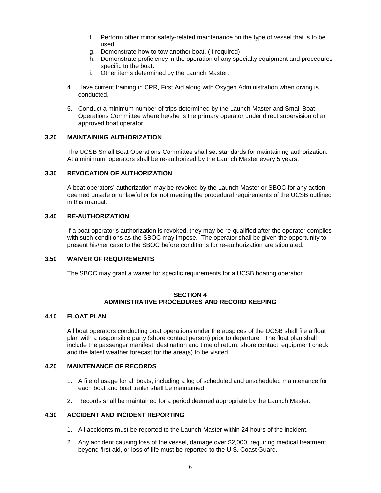- f. Perform other minor safety-related maintenance on the type of vessel that is to be used.
- g. Demonstrate how to tow another boat. (If required)
- h. Demonstrate proficiency in the operation of any specialty equipment and procedures specific to the boat.
- i. Other items determined by the Launch Master.
- 4. Have current training in CPR, First Aid along with Oxygen Administration when diving is conducted.
- 5. Conduct a minimum number of trips determined by the Launch Master and Small Boat Operations Committee where he/she is the primary operator under direct supervision of an approved boat operator.

### **3.20 MAINTAINING AUTHORIZATION**

The UCSB Small Boat Operations Committee shall set standards for maintaining authorization. At a minimum, operators shall be re-authorized by the Launch Master every 5 years.

#### **3.30 REVOCATION OF AUTHORIZATION**

A boat operators' authorization may be revoked by the Launch Master or SBOC for any action deemed unsafe or unlawful or for not meeting the procedural requirements of the UCSB outlined in this manual.

#### **3.40 RE-AUTHORIZATION**

If a boat operator's authorization is revoked, they may be re-qualified after the operator complies with such conditions as the SBOC may impose. The operator shall be given the opportunity to present his/her case to the SBOC before conditions for re-authorization are stipulated.

#### **3.50 WAIVER OF REQUIREMENTS**

The SBOC may grant a waiver for specific requirements for a UCSB boating operation.

#### **SECTION 4 ADMINISTRATIVE PROCEDURES AND RECORD KEEPING**

#### **4.10 FLOAT PLAN**

All boat operators conducting boat operations under the auspices of the UCSB shall file a float plan with a responsible party (shore contact person) prior to departure. The float plan shall include the passenger manifest, destination and time of return, shore contact, equipment check and the latest weather forecast for the area(s) to be visited.

#### **4.20 MAINTENANCE OF RECORDS**

- 1. A file of usage for all boats, including a log of scheduled and unscheduled maintenance for each boat and boat trailer shall be maintained.
- 2. Records shall be maintained for a period deemed appropriate by the Launch Master.

#### **4.30 ACCIDENT AND INCIDENT REPORTING**

- 1. All accidents must be reported to the Launch Master within 24 hours of the incident.
- 2. Any accident causing loss of the vessel, damage over \$2,000, requiring medical treatment beyond first aid, or loss of life must be reported to the U.S. Coast Guard.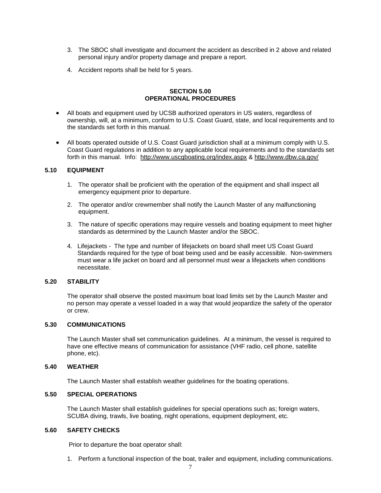- 3. The SBOC shall investigate and document the accident as described in 2 above and related personal injury and/or property damage and prepare a report.
- 4. Accident reports shall be held for 5 years.

#### **SECTION 5.00 OPERATIONAL PROCEDURES**

- All boats and equipment used by UCSB authorized operators in US waters, regardless of ownership, will, at a minimum, conform to U.S. Coast Guard, state, and local requirements and to the standards set forth in this manual.
- All boats operated outside of U.S. Coast Guard jurisdiction shall at a minimum comply with U.S. Coast Guard regulations in addition to any applicable local requirements and to the standards set forth in this manual. Info: <http://www.uscgboating.org/index.aspx> &<http://www.dbw.ca.gov/>

#### **5.10 EQUIPMENT**

- 1. The operator shall be proficient with the operation of the equipment and shall inspect all emergency equipment prior to departure.
- 2. The operator and/or crewmember shall notify the Launch Master of any malfunctioning equipment.
- 3. The nature of specific operations may require vessels and boating equipment to meet higher standards as determined by the Launch Master and/or the SBOC.
- 4. Lifejackets The type and number of lifejackets on board shall meet US Coast Guard Standards required for the type of boat being used and be easily accessible. Non-swimmers must wear a life jacket on board and all personnel must wear a lifejackets when conditions necessitate.

#### **5.20 STABILITY**

 The operator shall observe the posted maximum boat load limits set by the Launch Master and no person may operate a vessel loaded in a way that would jeopardize the safety of the operator or crew.

#### **5.30 COMMUNICATIONS**

The Launch Master shall set communication guidelines. At a minimum, the vessel is required to have one effective means of communication for assistance (VHF radio, cell phone, satellite phone, etc).

#### **5.40 WEATHER**

The Launch Master shall establish weather guidelines for the boating operations.

#### **5.50 SPECIAL OPERATIONS**

The Launch Master shall establish guidelines for special operations such as; foreign waters, SCUBA diving, trawls, live boating, night operations, equipment deployment, etc.

#### **5.60 SAFETY CHECKS**

Prior to departure the boat operator shall:

1. Perform a functional inspection of the boat, trailer and equipment, including communications.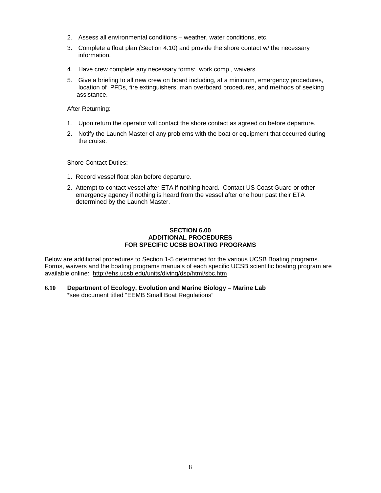- 2. Assess all environmental conditions weather, water conditions, etc.
- 3. Complete a float plan (Section 4.10) and provide the shore contact w/ the necessary information.
- 4. Have crew complete any necessary forms: work comp., waivers.
- 5. Give a briefing to all new crew on board including, at a minimum, emergency procedures, location of PFDs, fire extinguishers, man overboard procedures, and methods of seeking assistance.

After Returning:

- 1. Upon return the operator will contact the shore contact as agreed on before departure.
- 2. Notify the Launch Master of any problems with the boat or equipment that occurred during the cruise.

Shore Contact Duties:

- 1. Record vessel float plan before departure.
- 2. Attempt to contact vessel after ETA if nothing heard. Contact US Coast Guard or other emergency agency if nothing is heard from the vessel after one hour past their ETA determined by the Launch Master.

#### **SECTION 6.00 ADDITIONAL PROCEDURES FOR SPECIFIC UCSB BOATING PROGRAMS**

Below are additional procedures to Section 1-5 determined for the various UCSB Boating programs. Forms, waivers and the boating programs manuals of each specific UCSB scientific boating program are available online: <http://ehs.ucsb.edu/units/diving/dsp/html/sbc.htm>

**6.10 Department of Ecology, Evolution and Marine Biology – Marine Lab**

\*see document titled "EEMB Small Boat Regulations"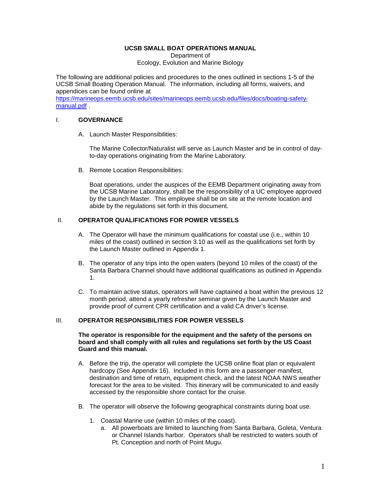#### **UCSB SMALL BOAT OPERATIONS MANUAL**

Department of Ecology, Evolution and Marine Biology

The following are additional policies and procedures to the ones outlined in sections 1-5 of the UCSB Small Boating Operation Manual. The information, including all forms, waivers, and appendices can be found online at

[https://marineops.eemb.ucsb.edu/sites/marineops.eemb.ucsb.edu/files/docs/boating-safety](https://marineops.eemb.ucsb.edu/sites/marineops.eemb.ucsb.edu/files/docs/boating-safety-manual.pdf)[manual.pdf](https://marineops.eemb.ucsb.edu/sites/marineops.eemb.ucsb.edu/files/docs/boating-safety-manual.pdf) .

### I. **GOVERNANCE**

A. Launch Master Responsibilities:

The Marine Collector/Naturalist will serve as Launch Master and be in control of dayto-day operations originating from the Marine Laboratory.

B. Remote Location Responsibilities:

Boat operations, under the auspices of the EEMB Department originating away from the UCSB Marine Laboratory, shall be the responsibility of a UC employee approved by the Launch Master. This employee shall be on site at the remote location and abide by the regulations set forth in this document.

### II. **OPERATOR QUALIFICATIONS FOR POWER VESSELS**

- A. The Operator will have the minimum qualifications for coastal use (i.e., within 10 miles of the coast) outlined in section 3.10 as well as the qualifications set forth by the Launch Master outlined in Appendix 1.
- B. The operator of any trips into the open waters (beyond 10 miles of the coast) of the Santa Barbara Channel should have additional qualifications as outlined in Appendix 1.
- C. To maintain active status, operators will have captained a boat within the previous 12 month period, attend a yearly refresher seminar given by the Launch Master and provide proof of current CPR certification and a valid CA driver's license.

### III. **OPERATOR RESPONSIBILITIES FOR POWER VESSELS**

#### **The operator is responsible for the equipment and the safety of the persons on board and shall comply with all rules and regulations set forth by the US Coast Guard and this manual.**

- A. Before the trip, the operator will complete the UCSB online float plan or equivalent hardcopy (See Appendix 16). Included in this form are a passenger manifest, destination and time of return, equipment check, and the latest NOAA NWS weather forecast for the area to be visited. This itinerary will be communicated to and easily accessed by the responsible shore contact for the cruise.
- B. The operator will observe the following geographical constraints during boat use.
	- 1. Coastal Marine use (within 10 miles of the coast).
		- a. All powerboats are limited to launching from Santa Barbara, Goleta, Ventura or Channel Islands harbor. Operators shall be restricted to waters south of Pt. Conception and north of Point Mugu.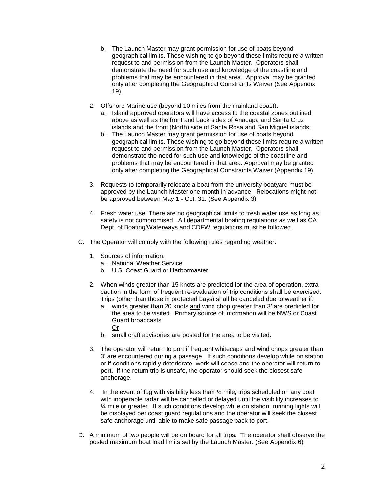- b. The Launch Master may grant permission for use of boats beyond geographical limits. Those wishing to go beyond these limits require a written request to and permission from the Launch Master. Operators shall demonstrate the need for such use and knowledge of the coastline and problems that may be encountered in that area. Approval may be granted only after completing the Geographical Constraints Waiver (See Appendix 19).
- 2. Offshore Marine use (beyond 10 miles from the mainland coast).
	- a. Island approved operators will have access to the coastal zones outlined above as well as the front and back sides of Anacapa and Santa Cruz islands and the front (North) side of Santa Rosa and San Miguel islands.
	- b. The Launch Master may grant permission for use of boats beyond geographical limits. Those wishing to go beyond these limits require a written request to and permission from the Launch Master. Operators shall demonstrate the need for such use and knowledge of the coastline and problems that may be encountered in that area. Approval may be granted only after completing the Geographical Constraints Waiver (Appendix 19).
- 3. Requests to temporarily relocate a boat from the university boatyard must be approved by the Launch Master one month in advance. Relocations might not be approved between May 1 - Oct. 31. (See Appendix 3)
- 4. Fresh water use: There are no geographical limits to fresh water use as long as safety is not compromised. All departmental boating regulations as well as CA Dept. of Boating/Waterways and CDFW regulations must be followed.
- C. The Operator will comply with the following rules regarding weather.
	- 1. Sources of information.
		- a. National Weather Service
		- b. U.S. Coast Guard or Harbormaster.
	- 2. When winds greater than 15 knots are predicted for the area of operation, extra caution in the form of frequent re-evaluation of trip conditions shall be exercised. Trips (other than those in protected bays) shall be canceled due to weather if:
		- a. winds greater than 20 knots and wind chop greater than 3' are predicted for the area to be visited. Primary source of information will be NWS or Coast Guard broadcasts. Or
		- b. small craft advisories are posted for the area to be visited.
	- 3. The operator will return to port if frequent whitecaps and wind chops greater than 3' are encountered during a passage. If such conditions develop while on station or if conditions rapidly deteriorate, work will cease and the operator will return to port. If the return trip is unsafe, the operator should seek the closest safe anchorage.
	- 4. In the event of fog with visibility less than ¼ mile, trips scheduled on any boat with inoperable radar will be cancelled or delayed until the visibility increases to ¼ mile or greater. If such conditions develop while on station, running lights will be displayed per coast guard regulations and the operator will seek the closest safe anchorage until able to make safe passage back to port.
- D. A minimum of two people will be on board for all trips. The operator shall observe the posted maximum boat load limits set by the Launch Master. (See Appendix 6).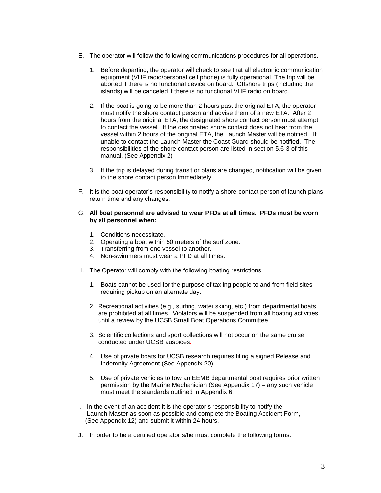- E. The operator will follow the following communications procedures for all operations.
	- 1. Before departing, the operator will check to see that all electronic communication equipment (VHF radio/personal cell phone) is fully operational. The trip will be aborted if there is no functional device on board. Offshore trips (including the islands) will be canceled if there is no functional VHF radio on board.
	- 2. If the boat is going to be more than 2 hours past the original ETA, the operator must notify the shore contact person and advise them of a new ETA. After 2 hours from the original ETA, the designated shore contact person must attempt to contact the vessel. If the designated shore contact does not hear from the vessel within 2 hours of the original ETA, the Launch Master will be notified. If unable to contact the Launch Master the Coast Guard should be notified. The responsibilities of the shore contact person are listed in section 5.6-3 of this manual. (See Appendix 2)
	- 3. If the trip is delayed during transit or plans are changed, notification will be given to the shore contact person immediately.
- F. It is the boat operator's responsibility to notify a shore-contact person of launch plans, return time and any changes.

#### G. **All boat personnel are advised to wear PFDs at all times. PFDs must be worn by all personnel when:**

- 1. Conditions necessitate.
- 2. Operating a boat within 50 meters of the surf zone.
- 3. Transferring from one vessel to another.
- 4. Non-swimmers must wear a PFD at all times.
- H. The Operator will comply with the following boating restrictions.
	- 1. Boats cannot be used for the purpose of taxiing people to and from field sites requiring pickup on an alternate day.
	- 2. Recreational activities (e.g., surfing, water skiing, etc.) from departmental boats are prohibited at all times. Violators will be suspended from all boating activities until a review by the UCSB Small Boat Operations Committee.
	- 3. Scientific collections and sport collections will not occur on the same cruise conducted under UCSB auspices.
	- 4. Use of private boats for UCSB research requires filing a signed Release and Indemnity Agreement (See Appendix 20).
	- 5. Use of private vehicles to tow an EEMB departmental boat requires prior written permission by the Marine Mechanician (See Appendix 17) – any such vehicle must meet the standards outlined in Appendix 6.
- I. In the event of an accident it is the operator's responsibility to notify the Launch Master as soon as possible and complete the Boating Accident Form, (See Appendix 12) and submit it within 24 hours.
- J. In order to be a certified operator s/he must complete the following forms.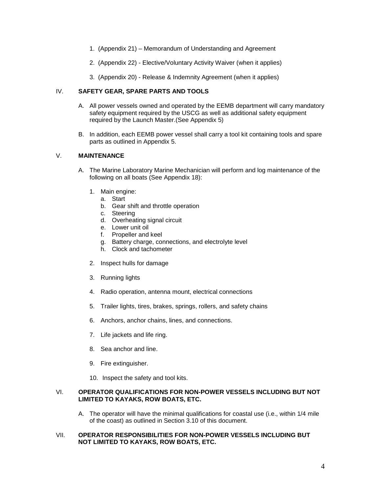- 1. (Appendix 21) Memorandum of Understanding and Agreement
- 2. (Appendix 22) Elective/Voluntary Activity Waiver (when it applies)
- 3. (Appendix 20) Release & Indemnity Agreement (when it applies)

### IV. **SAFETY GEAR, SPARE PARTS AND TOOLS**

- A. All power vessels owned and operated by the EEMB department will carry mandatory safety equipment required by the USCG as well as additional safety equipment required by the Launch Master.(See Appendix 5)
- B. In addition, each EEMB power vessel shall carry a tool kit containing tools and spare parts as outlined in Appendix 5.

### V. **MAINTENANCE**

- A. The Marine Laboratory Marine Mechanician will perform and log maintenance of the following on all boats (See Appendix 18):
	- 1. Main engine:
		- a. Start
		- b. Gear shift and throttle operation
		- c. Steering
		- d. Overheating signal circuit
		- e. Lower unit oil
		- f. Propeller and keel
		- g. Battery charge, connections, and electrolyte level
		- h. Clock and tachometer
	- 2. Inspect hulls for damage
	- 3. Running lights
	- 4. Radio operation, antenna mount, electrical connections
	- 5. Trailer lights, tires, brakes, springs, rollers, and safety chains
	- 6. Anchors, anchor chains, lines, and connections.
	- 7. Life jackets and life ring.
	- 8. Sea anchor and line.
	- 9. Fire extinguisher.
	- 10. Inspect the safety and tool kits.

### VI. **OPERATOR QUALIFICATIONS FOR NON-POWER VESSELS INCLUDING BUT NOT LIMITED TO KAYAKS, ROW BOATS, ETC.**

A. The operator will have the minimal qualifications for coastal use (i.e., within 1/4 mile of the coast) as outlined in Section 3.10 of this document.

### VII. **OPERATOR RESPONSIBILITIES FOR NON-POWER VESSELS INCLUDING BUT NOT LIMITED TO KAYAKS, ROW BOATS, ETC.**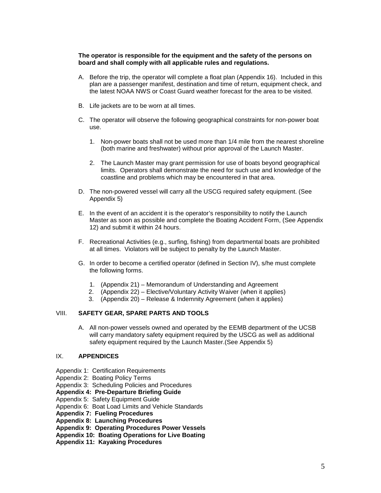#### **The operator is responsible for the equipment and the safety of the persons on board and shall comply with all applicable rules and regulations.**

- A. Before the trip, the operator will complete a float plan (Appendix 16). Included in this plan are a passenger manifest, destination and time of return, equipment check, and the latest NOAA NWS or Coast Guard weather forecast for the area to be visited.
- B. Life jackets are to be worn at all times.
- C. The operator will observe the following geographical constraints for non-power boat use.
	- 1. Non-power boats shall not be used more than 1/4 mile from the nearest shoreline (both marine and freshwater) without prior approval of the Launch Master.
	- 2. The Launch Master may grant permission for use of boats beyond geographical limits. Operators shall demonstrate the need for such use and knowledge of the coastline and problems which may be encountered in that area.
- D. The non-powered vessel will carry all the USCG required safety equipment. (See Appendix 5)
- E. In the event of an accident it is the operator's responsibility to notify the Launch Master as soon as possible and complete the Boating Accident Form, (See Appendix 12) and submit it within 24 hours.
- F. Recreational Activities (e.g., surfing, fishing) from departmental boats are prohibited at all times. Violators will be subject to penalty by the Launch Master.
- G. In order to become a certified operator (defined in Section IV), s/he must complete the following forms.
	- 1. (Appendix 21) Memorandum of Understanding and Agreement
	- 2. (Appendix 22) Elective/Voluntary Activity Waiver (when it applies)
	- 3. (Appendix 20) Release & Indemnity Agreement (when it applies)

### VIII. **SAFETY GEAR, SPARE PARTS AND TOOLS**

A. All non-power vessels owned and operated by the EEMB department of the UCSB will carry mandatory safety equipment required by the USCG as well as additional safety equipment required by the Launch Master.(See Appendix 5)

### IX. **APPENDICES**

- Appendix 1: Certification Requirements
- Appendix 2: Boating Policy Terms
- Appendix 3: Scheduling Policies and Procedures

#### **Appendix 4: Pre-Departure Briefing Guide**

- Appendix 5: Safety Equipment Guide
- Appendix 6: Boat Load Limits and Vehicle Standards
- **Appendix 7: Fueling Procedures**
- **Appendix 8: Launching Procedures**
- **Appendix 9: Operating Procedures Power Vessels**
- **Appendix 10: Boating Operations for Live Boating**
- **Appendix 11: Kayaking Procedures**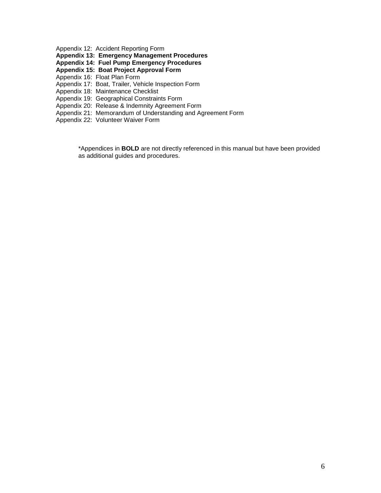Appendix 12: Accident Reporting Form

**Appendix 13: Emergency Management Procedures**

**Appendix 14: Fuel Pump Emergency Procedures**

**Appendix 15: Boat Project Approval Form**

Appendix 16: Float Plan Form

Appendix 17: Boat, Trailer, Vehicle Inspection Form

Appendix 18: Maintenance Checklist

Appendix 19: Geographical Constraints Form

- Appendix 20: Release & Indemnity Agreement Form
- Appendix 21: Memorandum of Understanding and Agreement Form

Appendix 22: Volunteer Waiver Form

\*Appendices in **BOLD** are not directly referenced in this manual but have been provided as additional guides and procedures.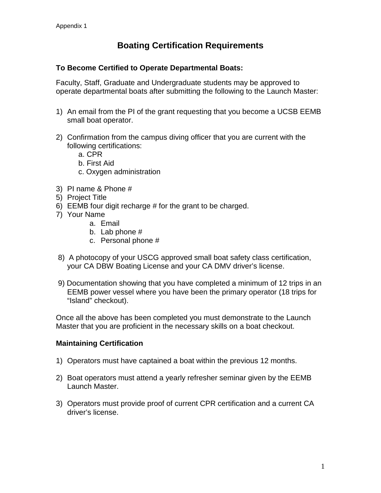# **Boating Certification Requirements**

### **To Become Certified to Operate Departmental Boats:**

Faculty, Staff, Graduate and Undergraduate students may be approved to operate departmental boats after submitting the following to the Launch Master:

- 1) An email from the PI of the grant requesting that you become a UCSB EEMB small boat operator.
- 2) Confirmation from the campus diving officer that you are current with the following certifications:
	- a. CPR
	- b. First Aid
	- c. Oxygen administration
- 3) PI name & Phone #
- 5) Project Title
- 6) EEMB four digit recharge # for the grant to be charged.
- 7) Your Name
	- a. Email
	- b. Lab phone #
	- c. Personal phone #
- 8) A photocopy of your USCG approved small boat safety class certification, your CA DBW Boating License and your CA DMV driver's license.
- 9) Documentation showing that you have completed a minimum of 12 trips in an EEMB power vessel where you have been the primary operator (18 trips for "Island" checkout).

Once all the above has been completed you must demonstrate to the Launch Master that you are proficient in the necessary skills on a boat checkout.

### **Maintaining Certification**

- 1) Operators must have captained a boat within the previous 12 months.
- 2) Boat operators must attend a yearly refresher seminar given by the EEMB Launch Master.
- 3) Operators must provide proof of current CPR certification and a current CA driver's license.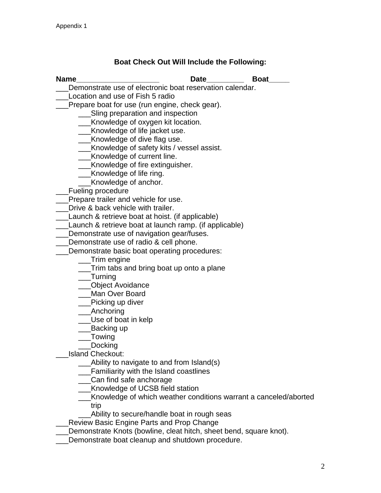# **Boat Check Out Will Include the Following:**

| <b>Name</b>                                                        | <b>Date</b> | <b>Boat</b>                                                      |
|--------------------------------------------------------------------|-------------|------------------------------------------------------------------|
| Demonstrate use of electronic boat reservation calendar.           |             |                                                                  |
| Location and use of Fish 5 radio                                   |             |                                                                  |
| Prepare boat for use (run engine, check gear).                     |             |                                                                  |
| ___Sling preparation and inspection                                |             |                                                                  |
| __Knowledge of oxygen kit location.                                |             |                                                                  |
| _Knowledge of life jacket use.                                     |             |                                                                  |
| __Knowledge of dive flag use.                                      |             |                                                                  |
| ___Knowledge of safety kits / vessel assist.                       |             |                                                                  |
| __Knowledge of current line.                                       |             |                                                                  |
| ___Knowledge of fire extinguisher.                                 |             |                                                                  |
| ___Knowledge of life ring.                                         |             |                                                                  |
| _Knowledge of anchor.                                              |             |                                                                  |
| <b>Fueling procedure</b>                                           |             |                                                                  |
| Prepare trailer and vehicle for use.                               |             |                                                                  |
| Drive & back vehicle with trailer.                                 |             |                                                                  |
| Launch & retrieve boat at hoist. (if applicable)                   |             |                                                                  |
| Launch & retrieve boat at launch ramp. (if applicable)             |             |                                                                  |
| Demonstrate use of navigation gear/fuses.                          |             |                                                                  |
| Demonstrate use of radio & cell phone.                             |             |                                                                  |
| Demonstrate basic boat operating procedures:                       |             |                                                                  |
| ___Trim engine                                                     |             |                                                                  |
| Trim tabs and bring boat up onto a plane                           |             |                                                                  |
| ___Turning                                                         |             |                                                                  |
| ___Object Avoidance                                                |             |                                                                  |
| Man Over Board                                                     |             |                                                                  |
| _Picking up diver                                                  |             |                                                                  |
| ____Anchoring                                                      |             |                                                                  |
| ___Use of boat in kelp                                             |             |                                                                  |
| __Backing up                                                       |             |                                                                  |
| ___Towing                                                          |             |                                                                  |
| Docking<br><b>Island Checkout:</b>                                 |             |                                                                  |
| Ability to navigate to and from Island(s)                          |             |                                                                  |
| <b>Familiarity with the Island coastlines</b>                      |             |                                                                  |
| Can find safe anchorage                                            |             |                                                                  |
| Knowledge of UCSB field station                                    |             |                                                                  |
|                                                                    |             | Knowledge of which weather conditions warrant a canceled/aborted |
| trip                                                               |             |                                                                  |
| Ability to secure/handle boat in rough seas                        |             |                                                                  |
| <b>Review Basic Engine Parts and Prop Change</b>                   |             |                                                                  |
| Demonstrate Knots (bowline, cleat hitch, sheet bend, square knot). |             |                                                                  |
| Demonstrate boat cleanup and shutdown procedure.                   |             |                                                                  |
|                                                                    |             |                                                                  |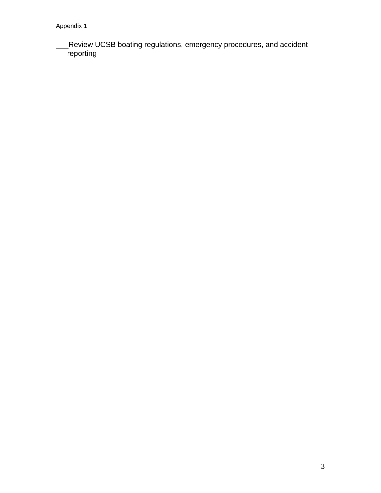\_\_\_Review UCSB boating regulations, emergency procedures, and accident **reporting**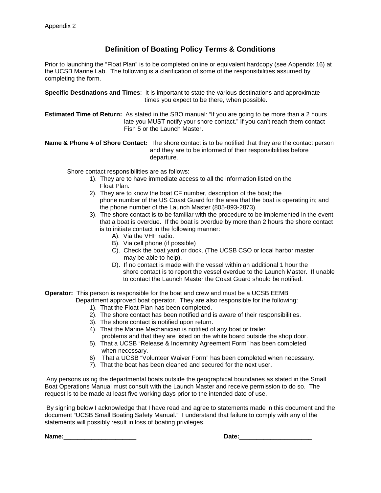### **Definition of Boating Policy Terms & Conditions**

Prior to launching the "Float Plan" is to be completed online or equivalent hardcopy (see Appendix 16) at the UCSB Marine Lab. The following is a clarification of some of the responsibilities assumed by completing the form.

**Specific Destinations and Times**: It is important to state the various destinations and approximate times you expect to be there, when possible.

**Estimated Time of Return:** As stated in the SBO manual: "If you are going to be more than a 2 hours late you MUST notify your shore contact." If you can't reach them contact Fish 5 or the Launch Master.

**Name & Phone # of Shore Contact:** The shore contact is to be notified that they are the contact person and they are to be informed of their responsibilities before departure.

Shore contact responsibilities are as follows:

- 1). They are to have immediate access to all the information listed on the Float Plan.
- 2). They are to know the boat CF number, description of the boat; the phone number of the US Coast Guard for the area that the boat is operating in; and the phone number of the Launch Master (805-893-2873).
- 3). The shore contact is to be familiar with the procedure to be implemented in the event that a boat is overdue. If the boat is overdue by more than 2 hours the shore contact is to initiate contact in the following manner:
	- A). Via the VHF radio.
	- B). Via cell phone (if possible)
	- C). Check the boat yard or dock. (The UCSB CSO or local harbor master may be able to help).
	- D). If no contact is made with the vessel within an additional 1 hour the shore contact is to report the vessel overdue to the Launch Master. If unable to contact the Launch Master the Coast Guard should be notified.
- **Operator:** This person is responsible for the boat and crew and must be a UCSB EEMB Department approved boat operator. They are also responsible for the following:
	- 1). That the Float Plan has been completed.
	- 2). The shore contact has been notified and is aware of their responsibilities.
	- 3). The shore contact is notified upon return.
	- 4). That the Marine Mechanician is notified of any boat or trailer
	- problems and that they are listed on the white board outside the shop door. 5). That a UCSB "Release & Indemnity Agreement Form" has been completed when necessary.
	- 6) That a UCSB "Volunteer Waiver Form" has been completed when necessary.
	- 7). That the boat has been cleaned and secured for the next user.

Any persons using the departmental boats outside the geographical boundaries as stated in the Small Boat Operations Manual must consult with the Launch Master and receive permission to do so. The request is to be made at least five working days prior to the intended date of use.

By signing below I acknowledge that I have read and agree to statements made in this document and the document "UCSB Small Boating Safety Manual." I understand that failure to comply with any of the statements will possibly result in loss of boating privileges.

 $Name:$ 

| Date: |  |
|-------|--|
|       |  |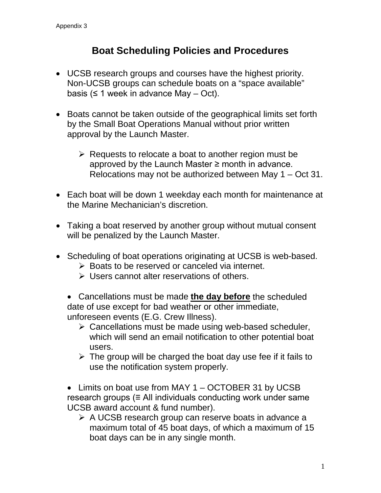# **Boat Scheduling Policies and Procedures**

- UCSB research groups and courses have the highest priority. Non-UCSB groups can schedule boats on a "space available" basis ( $\leq 1$  week in advance May – Oct).
- Boats cannot be taken outside of the geographical limits set forth by the Small Boat Operations Manual without prior written approval by the Launch Master.
	- $\triangleright$  Requests to relocate a boat to another region must be approved by the Launch Master  $\geq$  month in advance. Relocations may not be authorized between May 1 – Oct 31.
- Each boat will be down 1 weekday each month for maintenance at the Marine Mechanician's discretion.
- Taking a boat reserved by another group without mutual consent will be penalized by the Launch Master.
- Scheduling of boat operations originating at UCSB is web-based.
	- **► Boats to be reserved or canceled via internet.**
	- Users cannot alter reservations of others.
	- Cancellations must be made **the day before** the scheduled date of use except for bad weather or other immediate, unforeseen events (E.G. Crew Illness).
		- $\triangleright$  Cancellations must be made using web-based scheduler, which will send an email notification to other potential boat users.
		- $\triangleright$  The group will be charged the boat day use fee if it fails to use the notification system properly.
	- Limits on boat use from MAY 1 OCTOBER 31 by UCSB research groups ( $\equiv$  All individuals conducting work under same UCSB award account & fund number).
		- A UCSB research group can reserve boats in advance a maximum total of 45 boat days, of which a maximum of 15 boat days can be in any single month.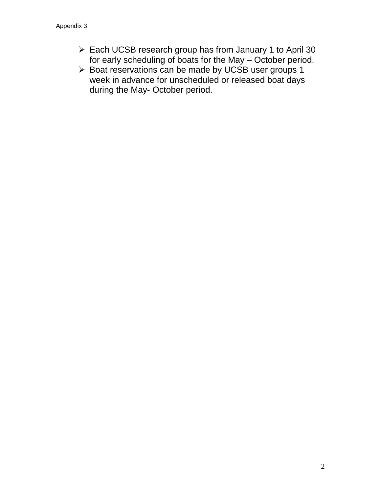- Each UCSB research group has from January 1 to April 30 for early scheduling of boats for the May – October period.
- > Boat reservations can be made by UCSB user groups 1 week in advance for unscheduled or released boat days during the May- October period.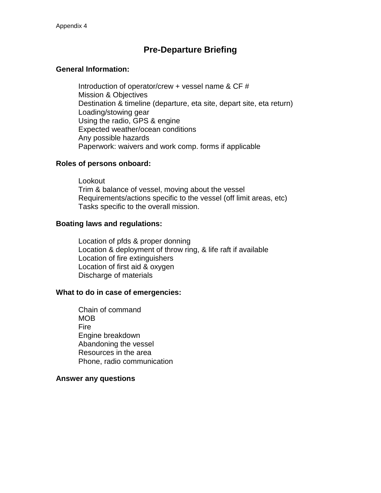## **Pre-Departure Briefing**

### **General Information:**

Introduction of operator/crew + vessel name & CF # Mission & Objectives Destination & timeline (departure, eta site, depart site, eta return) Loading/stowing gear Using the radio, GPS & engine Expected weather/ocean conditions Any possible hazards Paperwork: waivers and work comp. forms if applicable

### **Roles of persons onboard:**

Lookout Trim & balance of vessel, moving about the vessel Requirements/actions specific to the vessel (off limit areas, etc) Tasks specific to the overall mission.

### **Boating laws and regulations:**

Location of pfds & proper donning Location & deployment of throw ring, & life raft if available Location of fire extinguishers Location of first aid & oxygen Discharge of materials

### **What to do in case of emergencies:**

Chain of command MOB Fire Engine breakdown Abandoning the vessel Resources in the area Phone, radio communication

### **Answer any questions**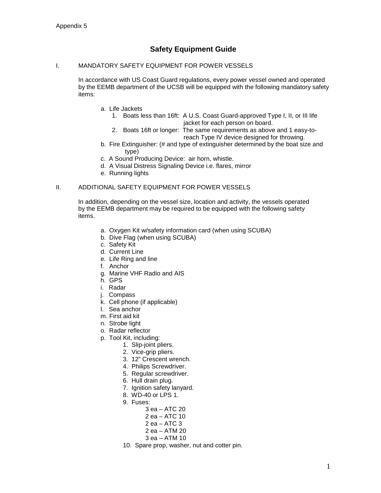### **Safety Equipment Guide**

### I. MANDATORY SAFETY EQUIPMENT FOR POWER VESSELS

In accordance with US Coast Guard regulations, every power vessel owned and operated by the EEMB department of the UCSB will be equipped with the following mandatory safety items:

- a. Life Jackets
	- 1. Boats less than 16ft: A U.S. Coast Guard-approved Type I, II, or III life jacket for each person on board.
	- 2. Boats 16ft or longer: The same requirements as above and 1 easy-to reach Type IV device designed for throwing.
- b. Fire Extinguisher: (# and type of extinguisher determined by the boat size and type)
- c. A Sound Producing Device: air horn, whistle.
- d. A Visual Distress Signaling Device i.e. flares, mirror
- e. Running lights

#### II. ADDITIONAL SAFETY EQUIPMENT FOR POWER VESSELS

In addition, depending on the vessel size, location and activity, the vessels operated by the EEMB department may be required to be equipped with the following safety items.

- a. Oxygen Kit w/safety information card (when using SCUBA)
- b. Dive Flag (when using SCUBA)
- c. Safety Kit
- d. Current Line
- e. Life Ring and line
- f. Anchor
- g. Marine VHF Radio and AIS
- h. GPS
- i. Radar
- j. Compass
- k. Cell phone (if applicable)
- l. Sea anchor
- m. First aid kit
- n. Strobe light
- o. Radar reflector
- p. Tool Kit, including:
	- 1. Slip-joint pliers.
	- 2. Vice-grip pliers.
	- 3. 12" Crescent wrench.
	- 4. Philips Screwdriver.
	- 5. Regular screwdriver.
	- 6. Hull drain plug.
	- 7. Ignition safety lanyard.
	- 8. WD-40 or LPS 1.
	- 9. Fuses:
		- 3 ea ATC 20
		- 2 ea ATC 10 2 ea – ATC 3
		- 2 ea ATM 20
		- 3 ea ATM 10
	- 10. Spare prop, washer, nut and cotter pin.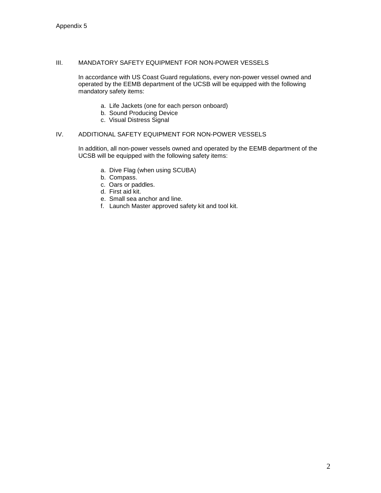#### III. MANDATORY SAFETY EQUIPMENT FOR NON-POWER VESSELS

In accordance with US Coast Guard regulations, every non-power vessel owned and operated by the EEMB department of the UCSB will be equipped with the following mandatory safety items:

- a. Life Jackets (one for each person onboard)
- b. Sound Producing Device
- c. Visual Distress Signal

### IV. ADDITIONAL SAFETY EQUIPMENT FOR NON-POWER VESSELS

In addition, all non-power vessels owned and operated by the EEMB department of the UCSB will be equipped with the following safety items:

- a. Dive Flag (when using SCUBA)
- b. Compass.
- c. Oars or paddles.
- d. First aid kit.
- e. Small sea anchor and line.
- f. Launch Master approved safety kit and tool kit.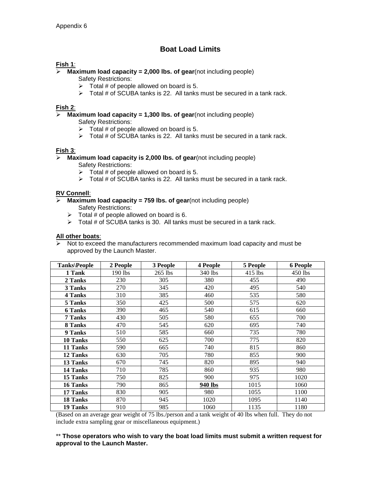### **Boat Load Limits**

### **Fish 1**:

### **Maximum load capacity = 2,000 lbs. of gear**(not including people)

Safety Restrictions:

- $\triangleright$  Total # of people allowed on board is 5.
- $\triangleright$  Total # of SCUBA tanks is 22. All tanks must be secured in a tank rack.

### **Fish 2**:

**Maximum load capacity = 1,300 lbs. of gear**(not including people)

Safety Restrictions:

- $\triangleright$  Total # of people allowed on board is 5.
- $\triangleright$  Total # of SCUBA tanks is 22. All tanks must be secured in a tank rack.

### **Fish 3**:

- **Maximum load capacity is 2,000 lbs. of gear**(not including people) Safety Restrictions:
	- $\triangleright$  Total # of people allowed on board is 5.
	- $\triangleright$  Total # of SCUBA tanks is 22. All tanks must be secured in a tank rack.

### **RV Connell**:

- **Maximum load capacity = 759 lbs. of gear**(not including people) Safety Restrictions:
	- $\triangleright$  Total # of people allowed on board is 6.
	- $\triangleright$  Total # of SCUBA tanks is 30. All tanks must be secured in a tank rack.

### **All other boats**:

 Not to exceed the manufacturers recommended maximum load capacity and must be approved by the Launch Master.

| Tanks\People   | 2 People  | 3 People  | 4 People | 5 People  | <b>6 People</b> |
|----------------|-----------|-----------|----------|-----------|-----------------|
| 1 Tank         | $190$ lbs | $265$ lbs | 340 lbs  | $415$ lbs | 450 lbs         |
| 2 Tanks        | 230       | 305       | 380      | 455       | 490             |
| 3 Tanks        | 270       | 345       | 420      | 495       | 540             |
| 4 Tanks        | 310       | 385       | 460      | 535       | 580             |
| 5 Tanks        | 350       | 425       | 500      | 575       | 620             |
| <b>6 Tanks</b> | 390       | 465       | 540      | 615       | 660             |
| 7 Tanks        | 430       | 505       | 580      | 655       | 700             |
| 8 Tanks        | 470       | 545       | 620      | 695       | 740             |
| 9 Tanks        | 510       | 585       | 660      | 735       | 780             |
| 10 Tanks       | 550       | 625       | 700      | 775       | 820             |
| 11 Tanks       | 590       | 665       | 740      | 815       | 860             |
| 12 Tanks       | 630       | 705       | 780      | 855       | 900             |
| 13 Tanks       | 670       | 745       | 820      | 895       | 940             |
| 14 Tanks       | 710       | 785       | 860      | 935       | 980             |
| 15 Tanks       | 750       | 825       | 900      | 975       | 1020            |
| 16 Tanks       | 790       | 865       | 940 lbs  | 1015      | 1060            |
| 17 Tanks       | 830       | 905       | 980      | 1055      | 1100            |
| 18 Tanks       | 870       | 945       | 1020     | 1095      | 1140            |
| 19 Tanks       | 910       | 985       | 1060     | 1135      | 1180            |

(Based on an average gear weight of 75 lbs./person and a tank weight of 40 lbs when full. They do not include extra sampling gear or miscellaneous equipment.)

\*\* **Those operators who wish to vary the boat load limits must submit a written request for approval to the Launch Master.**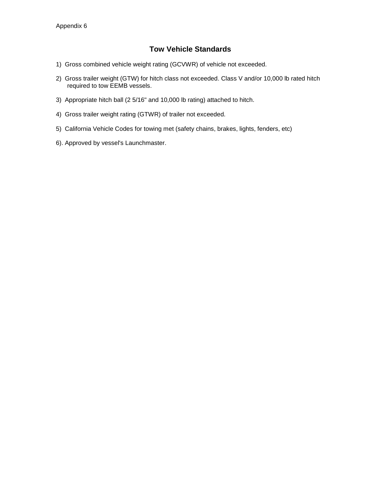### **Tow Vehicle Standards**

- 1) Gross combined vehicle weight rating (GCVWR) of vehicle not exceeded.
- 2) Gross trailer weight (GTW) for hitch class not exceeded. Class V and/or 10,000 lb rated hitch required to tow EEMB vessels.
- 3) Appropriate hitch ball (2 5/16" and 10,000 lb rating) attached to hitch.
- 4) Gross trailer weight rating (GTWR) of trailer not exceeded.
- 5) California Vehicle Codes for towing met (safety chains, brakes, lights, fenders, etc)
- 6). Approved by vessel's Launchmaster.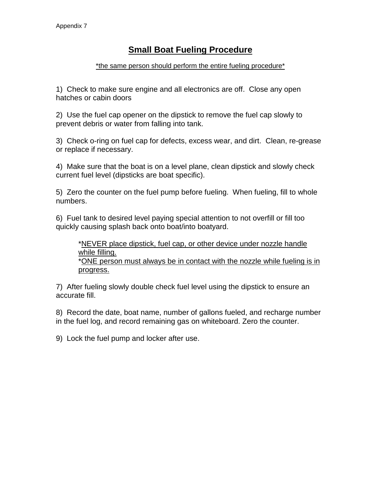## **Small Boat Fueling Procedure**

### \*the same person should perform the entire fueling procedure\*

1) Check to make sure engine and all electronics are off. Close any open hatches or cabin doors

2) Use the fuel cap opener on the dipstick to remove the fuel cap slowly to prevent debris or water from falling into tank.

3) Check o-ring on fuel cap for defects, excess wear, and dirt. Clean, re-grease or replace if necessary.

4) Make sure that the boat is on a level plane, clean dipstick and slowly check current fuel level (dipsticks are boat specific).

5) Zero the counter on the fuel pump before fueling. When fueling, fill to whole numbers.

6) Fuel tank to desired level paying special attention to not overfill or fill too quickly causing splash back onto boat/into boatyard.

\*NEVER place dipstick, fuel cap, or other device under nozzle handle while filling. \*ONE person must always be in contact with the nozzle while fueling is in progress.

7) After fueling slowly double check fuel level using the dipstick to ensure an accurate fill.

8) Record the date, boat name, number of gallons fueled, and recharge number in the fuel log, and record remaining gas on whiteboard. Zero the counter.

9) Lock the fuel pump and locker after use.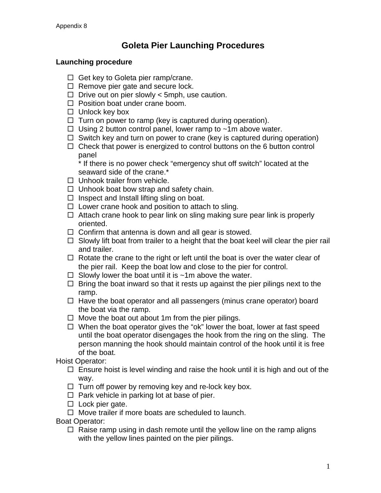# **Goleta Pier Launching Procedures**

### **Launching procedure**

- $\Box$  Get key to Goleta pier ramp/crane.
- $\Box$  Remove pier gate and secure lock.
- $\Box$  Drive out on pier slowly < 5mph, use caution.
- $\Box$  Position boat under crane boom.
- $\Box$  Unlock key box
- $\Box$  Turn on power to ramp (key is captured during operation).
- $\Box$  Using 2 button control panel, lower ramp to  $\sim$ 1m above water.
- $\Box$  Switch key and turn on power to crane (key is captured during operation)
- $\Box$  Check that power is energized to control buttons on the 6 button control panel

\* If there is no power check "emergency shut off switch" located at the seaward side of the crane.\*

- $\Box$  Unhook trailer from vehicle.
- $\Box$  Unhook boat bow strap and safety chain.
- $\Box$  Inspect and Install lifting sling on boat.
- $\Box$  Lower crane hook and position to attach to sling.
- $\Box$  Attach crane hook to pear link on sling making sure pear link is properly oriented.
- $\Box$  Confirm that antenna is down and all gear is stowed.
- $\Box$  Slowly lift boat from trailer to a height that the boat keel will clear the pier rail and trailer.
- $\Box$  Rotate the crane to the right or left until the boat is over the water clear of the pier rail. Keep the boat low and close to the pier for control.
- $\Box$  Slowly lower the boat until it is  $\sim$ 1m above the water.
- $\Box$  Bring the boat inward so that it rests up against the pier pilings next to the ramp.
- $\Box$  Have the boat operator and all passengers (minus crane operator) board the boat via the ramp.
- $\Box$  Move the boat out about 1m from the pier pilings.
- $\Box$  When the boat operator gives the "ok" lower the boat, lower at fast speed until the boat operator disengages the hook from the ring on the sling. The person manning the hook should maintain control of the hook until it is free of the boat.

Hoist Operator:

- $\Box$  Ensure hoist is level winding and raise the hook until it is high and out of the way.
- $\Box$  Turn off power by removing key and re-lock key box.
- $\Box$  Park vehicle in parking lot at base of pier.
- $\square$  Lock pier gate.
- $\Box$  Move trailer if more boats are scheduled to launch.

Boat Operator:

 $\Box$  Raise ramp using in dash remote until the yellow line on the ramp aligns with the yellow lines painted on the pier pilings.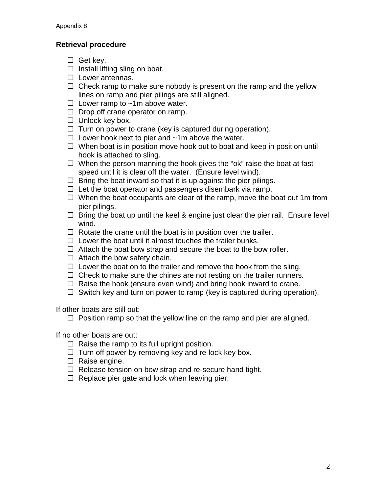### **Retrieval procedure**

- $\Box$  Get kev.
- $\Box$  Install lifting sling on boat.
- $\square$  Lower antennas.
- $\Box$  Check ramp to make sure nobody is present on the ramp and the yellow lines on ramp and pier pilings are still aligned.
- $\Box$  Lower ramp to ~1m above water.
- $\Box$  Drop off crane operator on ramp.
- $\Box$  Unlock key box.
- $\Box$  Turn on power to crane (key is captured during operation).
- $\Box$  Lower hook next to pier and  $\sim$ 1m above the water.
- $\Box$  When boat is in position move hook out to boat and keep in position until hook is attached to sling.
- $\Box$  When the person manning the hook gives the "ok" raise the boat at fast speed until it is clear off the water. (Ensure level wind).
- $\Box$  Bring the boat inward so that it is up against the pier pilings.
- $\Box$  Let the boat operator and passengers disembark via ramp.
- $\Box$  When the boat occupants are clear of the ramp, move the boat out 1m from pier pilings.
- $\Box$  Bring the boat up until the keel & engine just clear the pier rail. Ensure level wind.
- $\Box$  Rotate the crane until the boat is in position over the trailer.
- $\Box$  Lower the boat until it almost touches the trailer bunks.
- $\Box$  Attach the boat bow strap and secure the boat to the bow roller.
- $\Box$  Attach the bow safety chain.
- $\Box$  Lower the boat on to the trailer and remove the hook from the sling.
- $\Box$  Check to make sure the chines are not resting on the trailer runners.
- $\Box$  Raise the hook (ensure even wind) and bring hook inward to crane.
- $\Box$  Switch key and turn on power to ramp (key is captured during operation).

If other boats are still out:

 $\Box$  Position ramp so that the yellow line on the ramp and pier are aligned.

If no other boats are out:

- $\Box$  Raise the ramp to its full upright position.
- $\Box$  Turn off power by removing key and re-lock key box.
- $\Box$  Raise engine.
- $\Box$  Release tension on bow strap and re-secure hand tight.
- $\Box$  Replace pier gate and lock when leaving pier.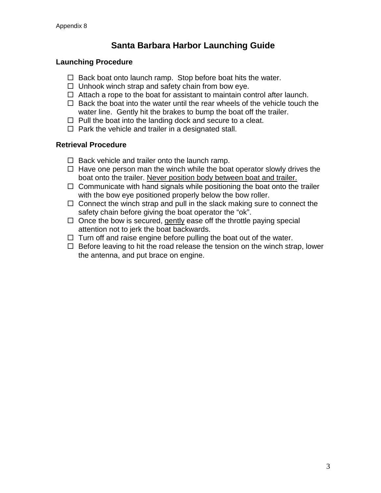# **Santa Barbara Harbor Launching Guide**

### **Launching Procedure**

- $\Box$  Back boat onto launch ramp. Stop before boat hits the water.
- $\Box$  Unhook winch strap and safety chain from bow eye.
- $\Box$  Attach a rope to the boat for assistant to maintain control after launch.
- $\Box$  Back the boat into the water until the rear wheels of the vehicle touch the water line. Gently hit the brakes to bump the boat off the trailer.
- $\Box$  Pull the boat into the landing dock and secure to a cleat.
- $\Box$  Park the vehicle and trailer in a designated stall.

### **Retrieval Procedure**

- $\Box$  Back vehicle and trailer onto the launch ramp.
- $\Box$  Have one person man the winch while the boat operator slowly drives the boat onto the trailer. Never position body between boat and trailer.
- $\Box$  Communicate with hand signals while positioning the boat onto the trailer with the bow eye positioned properly below the bow roller.
- $\Box$  Connect the winch strap and pull in the slack making sure to connect the safety chain before giving the boat operator the "ok".
- $\Box$  Once the bow is secured, gently ease off the throttle paying special attention not to jerk the boat backwards.
- $\Box$  Turn off and raise engine before pulling the boat out of the water.
- $\Box$  Before leaving to hit the road release the tension on the winch strap, lower the antenna, and put brace on engine.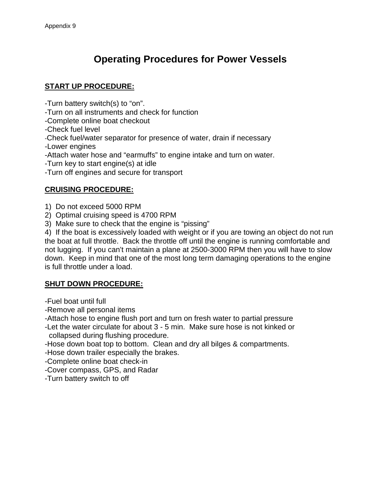# **Operating Procedures for Power Vessels**

### **START UP PROCEDURE:**

-Turn battery switch(s) to "on".

-Turn on all instruments and check for function

-Complete online boat checkout

-Check fuel level

-Check fuel/water separator for presence of water, drain if necessary

-Lower engines

-Attach water hose and "earmuffs" to engine intake and turn on water.

-Turn key to start engine(s) at idle

-Turn off engines and secure for transport

### **CRUISING PROCEDURE:**

1) Do not exceed 5000 RPM

2) Optimal cruising speed is 4700 RPM

3) Make sure to check that the engine is "pissing"

4) If the boat is excessively loaded with weight or if you are towing an object do not run the boat at full throttle. Back the throttle off until the engine is running comfortable and not lugging. If you can't maintain a plane at 2500-3000 RPM then you will have to slow down. Keep in mind that one of the most long term damaging operations to the engine is full throttle under a load.

### **SHUT DOWN PROCEDURE:**

-Fuel boat until full

-Remove all personal items

-Attach hose to engine flush port and turn on fresh water to partial pressure

-Let the water circulate for about 3 - 5 min. Make sure hose is not kinked or collapsed during flushing procedure.

-Hose down boat top to bottom. Clean and dry all bilges & compartments.

-Hose down trailer especially the brakes.

-Complete online boat check-in

-Cover compass, GPS, and Radar

-Turn battery switch to off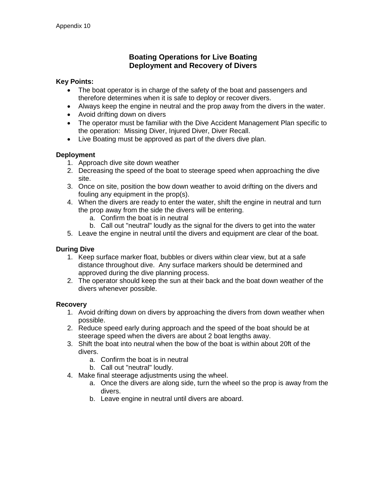### **Boating Operations for Live Boating Deployment and Recovery of Divers**

### **Key Points:**

- The boat operator is in charge of the safety of the boat and passengers and therefore determines when it is safe to deploy or recover divers.
- Always keep the engine in neutral and the prop away from the divers in the water.
- Avoid drifting down on divers
- The operator must be familiar with the Dive Accident Management Plan specific to the operation: Missing Diver, Injured Diver, Diver Recall.
- Live Boating must be approved as part of the divers dive plan.

### **Deployment**

- 1. Approach dive site down weather
- 2. Decreasing the speed of the boat to steerage speed when approaching the dive site.
- 3. Once on site, position the bow down weather to avoid drifting on the divers and fouling any equipment in the prop(s).
- 4. When the divers are ready to enter the water, shift the engine in neutral and turn the prop away from the side the divers will be entering.
	- a. Confirm the boat is in neutral
	- b. Call out "neutral" loudly as the signal for the divers to get into the water
- 5. Leave the engine in neutral until the divers and equipment are clear of the boat.

### **During Dive**

- 1. Keep surface marker float, bubbles or divers within clear view, but at a safe distance throughout dive. Any surface markers should be determined and approved during the dive planning process.
- 2. The operator should keep the sun at their back and the boat down weather of the divers whenever possible.

### **Recovery**

- 1. Avoid drifting down on divers by approaching the divers from down weather when possible.
- 2. Reduce speed early during approach and the speed of the boat should be at steerage speed when the divers are about 2 boat lengths away.
- 3. Shift the boat into neutral when the bow of the boat is within about 20ft of the divers.
	- a. Confirm the boat is in neutral
	- b. Call out "neutral" loudly.
- 4. Make final steerage adjustments using the wheel.
	- a. Once the divers are along side, turn the wheel so the prop is away from the divers.
	- b. Leave engine in neutral until divers are aboard.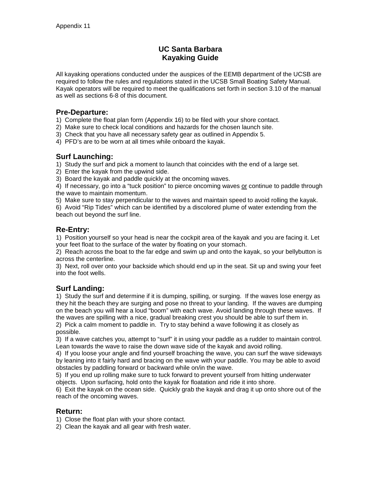### **UC Santa Barbara Kayaking Guide**

All kayaking operations conducted under the auspices of the EEMB department of the UCSB are required to follow the rules and regulations stated in the UCSB Small Boating Safety Manual. Kayak operators will be required to meet the qualifications set forth in section 3.10 of the manual as well as sections 6-8 of this document.

### **Pre-Departure:**

1) Complete the float plan form (Appendix 16) to be filed with your shore contact.

- 2) Make sure to check local conditions and hazards for the chosen launch site.
- 3) Check that you have all necessary safety gear as outlined in Appendix 5.
- 4) PFD's are to be worn at all times while onboard the kayak.

### **Surf Launching:**

1) Study the surf and pick a moment to launch that coincides with the end of a large set.

2) Enter the kayak from the upwind side.

3) Board the kayak and paddle quickly at the oncoming waves.

4) If necessary, go into a "tuck position" to pierce oncoming waves or continue to paddle through the wave to maintain momentum.

5) Make sure to stay perpendicular to the waves and maintain speed to avoid rolling the kayak.

6) Avoid "Rip Tides" which can be identified by a discolored plume of water extending from the beach out beyond the surf line.

### **Re-Entry:**

1) Position yourself so your head is near the cockpit area of the kayak and you are facing it. Let your feet float to the surface of the water by floating on your stomach.

2) Reach across the boat to the far edge and swim up and onto the kayak, so your bellybutton is across the centerline.

3) Next, roll over onto your backside which should end up in the seat. Sit up and swing your feet into the foot wells.

### **Surf Landing:**

1) Study the surf and determine if it is dumping, spilling, or surging. If the waves lose energy as they hit the beach they are surging and pose no threat to your landing. If the waves are dumping on the beach you will hear a loud "boom" with each wave. Avoid landing through these waves. If the waves are spilling with a nice, gradual breaking crest you should be able to surf them in. 2) Pick a calm moment to paddle in. Try to stay behind a wave following it as closely as

possible.

3) If a wave catches you, attempt to "surf" it in using your paddle as a rudder to maintain control. Lean towards the wave to raise the down wave side of the kayak and avoid rolling.

4) If you loose your angle and find yourself broaching the wave, you can surf the wave sideways by leaning into it fairly hard and bracing on the wave with your paddle. You may be able to avoid obstacles by paddling forward or backward while on/in the wave.

5) If you end up rolling make sure to tuck forward to prevent yourself from hitting underwater objects. Upon surfacing, hold onto the kayak for floatation and ride it into shore.

6) Exit the kayak on the ocean side. Quickly grab the kayak and drag it up onto shore out of the reach of the oncoming waves.

### **Return:**

1) Close the float plan with your shore contact.

2) Clean the kayak and all gear with fresh water.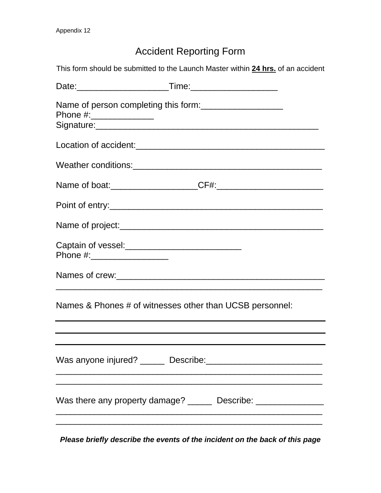# Accident Reporting Form

This form should be submitted to the Launch Master within **24 hrs.** of an accident

| Phone #:_______________        | Name of person completing this form:                                |
|--------------------------------|---------------------------------------------------------------------|
|                                |                                                                     |
|                                |                                                                     |
|                                |                                                                     |
|                                |                                                                     |
|                                |                                                                     |
| Captain of vessel:<br><u> </u> |                                                                     |
|                                |                                                                     |
|                                | Names & Phones # of witnesses other than UCSB personnel:            |
|                                |                                                                     |
|                                |                                                                     |
|                                | Was there any property damage? _______ Describe: __________________ |
|                                |                                                                     |

*Please briefly describe the events of the incident on the back of this page*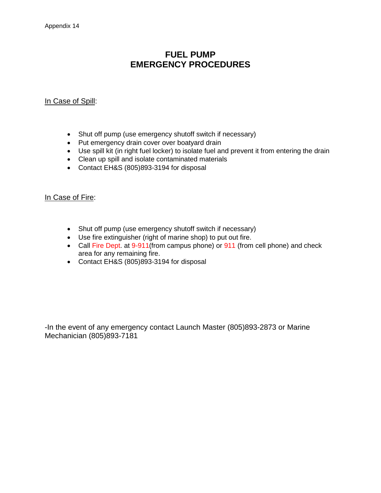# **FUEL PUMP EMERGENCY PROCEDURES**

### In Case of Spill:

- Shut off pump (use emergency shutoff switch if necessary)
- Put emergency drain cover over boatyard drain
- Use spill kit (in right fuel locker) to isolate fuel and prevent it from entering the drain
- Clean up spill and isolate contaminated materials
- Contact EH&S (805)893-3194 for disposal

### In Case of Fire:

- Shut off pump (use emergency shutoff switch if necessary)
- Use fire extinguisher (right of marine shop) to put out fire.
- Call Fire Dept. at 9-911(from campus phone) or 911 (from cell phone) and check area for any remaining fire.
- Contact EH&S (805)893-3194 for disposal

-In the event of any emergency contact Launch Master (805)893-2873 or Marine Mechanician (805)893-7181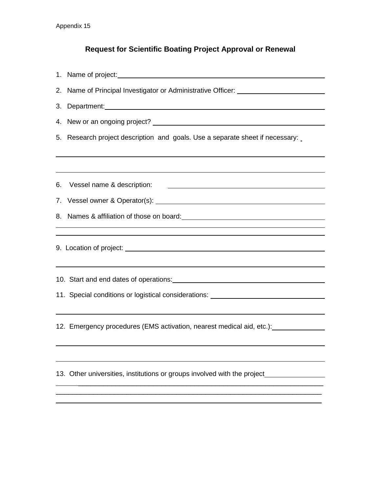# **Request for Scientific Boating Project Approval or Renewal**

| 2. Name of Principal Investigator or Administrative Officer: ___________________                                                                                                                                              |  |  |  |  |  |
|-------------------------------------------------------------------------------------------------------------------------------------------------------------------------------------------------------------------------------|--|--|--|--|--|
|                                                                                                                                                                                                                               |  |  |  |  |  |
|                                                                                                                                                                                                                               |  |  |  |  |  |
| 5. Research project description and goals. Use a separate sheet if necessary:                                                                                                                                                 |  |  |  |  |  |
|                                                                                                                                                                                                                               |  |  |  |  |  |
| 6. Vessel name & description:<br><u> 1989 - Johann Barbara, martin amerikan basal dan berasal dan berasal dalam basal dan berasal dan berasal dan</u>                                                                         |  |  |  |  |  |
|                                                                                                                                                                                                                               |  |  |  |  |  |
|                                                                                                                                                                                                                               |  |  |  |  |  |
| ,我们也不会有什么。""我们的人,我们也不会有什么?""我们的人,我们也不会有什么?""我们的人,我们也不会有什么?""我们的人,我们也不会有什么?""我们的人                                                                                                                                              |  |  |  |  |  |
|                                                                                                                                                                                                                               |  |  |  |  |  |
| ,我们也不会有什么。""我们的人,我们也不会有什么?""我们的人,我们也不会有什么?""我们的人,我们也不会有什么?""我们的人,我们也不会有什么?""我们的人                                                                                                                                              |  |  |  |  |  |
| 10. Start and end dates of operations: North and the starting of the starting of the starting of the starting of the starting of the starting of the starting of the starting of the starting of the starting of the starting |  |  |  |  |  |
| 11. Special conditions or logistical considerations: ___________________________                                                                                                                                              |  |  |  |  |  |
|                                                                                                                                                                                                                               |  |  |  |  |  |
| 12. Emergency procedures (EMS activation, nearest medical aid, etc.): [110] 12. Emergency procedures                                                                                                                          |  |  |  |  |  |
|                                                                                                                                                                                                                               |  |  |  |  |  |
| 13. Other universities, institutions or groups involved with the project                                                                                                                                                      |  |  |  |  |  |
|                                                                                                                                                                                                                               |  |  |  |  |  |
|                                                                                                                                                                                                                               |  |  |  |  |  |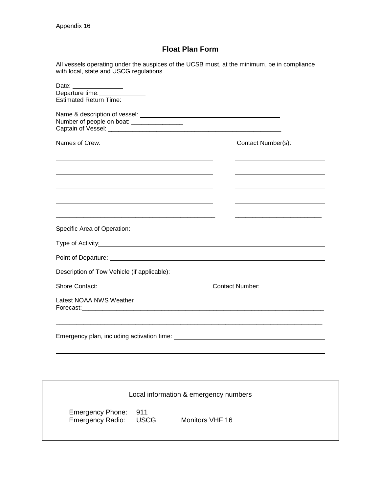### **Float Plan Form**

All vessels operating under the auspices of the UCSB must, at the minimum, be in compliance with local, state and USCG regulations

| Date:<br>Departure time:<br><u>[</u> [11] Departure time:<br>Estimated Return Time: _______                                                                                                                                          |                                           |
|--------------------------------------------------------------------------------------------------------------------------------------------------------------------------------------------------------------------------------------|-------------------------------------------|
| Number of people on boat: _________________                                                                                                                                                                                          |                                           |
| Names of Crew:                                                                                                                                                                                                                       | Contact Number(s):                        |
|                                                                                                                                                                                                                                      |                                           |
| <u> 1989 - Johann John Stone, markin fizik eta idazlearia (h. 1989).</u>                                                                                                                                                             |                                           |
|                                                                                                                                                                                                                                      |                                           |
| Specific Area of Operation: <u>contained a set of the set of the set of the set of the set of the set of the set o</u>                                                                                                               |                                           |
| Type of Activity: <u>contained a set of the set of the set of the set of the set of the set of the set of the set of the set of the set of the set of the set of the set of the set of the set of the set of the set of the set </u> |                                           |
|                                                                                                                                                                                                                                      |                                           |
|                                                                                                                                                                                                                                      |                                           |
|                                                                                                                                                                                                                                      | Contact Number:<br><u>Contact Number:</u> |
| Latest NOAA NWS Weather                                                                                                                                                                                                              |                                           |
|                                                                                                                                                                                                                                      |                                           |
|                                                                                                                                                                                                                                      |                                           |
| Local information & emergency numbers                                                                                                                                                                                                |                                           |
| 911<br><b>Emergency Phone:</b><br>Emergency Radio:<br><b>USCG</b><br>Monitors VHF 16                                                                                                                                                 |                                           |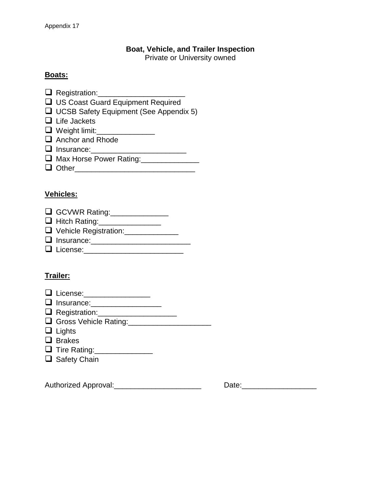### **Boat, Vehicle, and Trailer Inspection**

Private or University owned

### **Boats:**

- Registration:\_\_\_\_\_\_\_\_\_\_\_\_\_\_\_\_\_\_\_\_\_
- □ US Coast Guard Equipment Required
- **UCSB Safety Equipment (See Appendix 5)**
- $\Box$  Life Jackets
- □ Weight limit:\_\_\_\_\_\_\_\_\_\_\_\_\_\_\_\_
- $\Box$  Anchor and Rhode
- Insurance:\_\_\_\_\_\_\_\_\_\_\_\_\_\_\_\_\_\_\_\_\_\_\_
- **Q** Max Horse Power Rating:\_\_\_\_\_\_\_\_\_\_\_\_\_\_
- $\Box$  Other

### **Vehicles:**

| $\Box$ GCVWR Rating: |  |
|----------------------|--|
|----------------------|--|

- □ Hitch Rating:\_\_\_\_\_\_\_\_\_\_\_\_\_\_\_\_\_\_
- Vehicle Registration:\_\_\_\_\_\_\_\_\_\_\_\_\_
- $\Box$  Insurance:
- License:\_\_\_\_\_\_\_\_\_\_\_\_\_\_\_\_\_\_\_\_\_\_\_\_

### **Trailer:**

- **□** License: \_\_\_\_\_\_\_\_\_\_\_\_\_\_\_\_\_\_
- **Q** Insurance: \_\_\_\_\_\_\_\_\_\_\_\_\_\_\_\_\_
- **Q** Registration:\_\_\_\_\_\_\_\_\_\_\_\_\_\_\_\_\_\_\_\_\_
- Gross Vehicle Rating:\_\_\_\_\_\_\_\_\_\_\_\_\_\_\_\_\_\_\_\_
- $\Box$  Lights
- **Q** Brakes
- **Tire Rating:\_\_\_\_\_\_\_\_\_\_\_\_\_\_\_\_\_\_\_**
- $\Box$  Safety Chain

Authorized Approval:\_\_\_\_\_\_\_\_\_\_\_\_\_\_\_\_\_\_\_\_\_ Date:\_\_\_\_\_\_\_\_\_\_\_\_\_\_\_\_\_\_

| Date: |  |  |  |  |
|-------|--|--|--|--|
|       |  |  |  |  |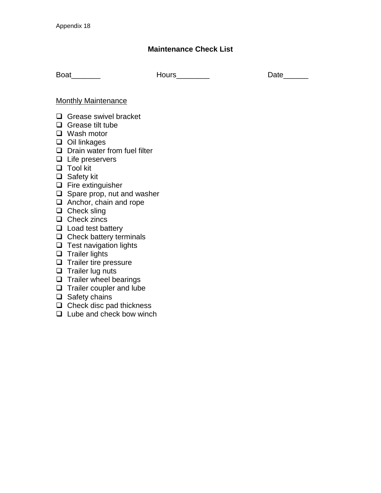### **Maintenance Check List**

Boat \_\_\_\_\_\_\_\_ Hours\_\_\_\_\_\_\_\_\_ Date\_\_\_\_\_\_\_

### Monthly Maintenance

- Grease swivel bracket
- $\Box$  Grease tilt tube
- □ Wash motor
- $\Box$  Oil linkages
- $\Box$  Drain water from fuel filter
- $\Box$  Life preservers
- □ Tool kit
- □ Safety kit
- $\Box$  Fire extinguisher
- $\Box$  Spare prop, nut and washer
- $\Box$  Anchor, chain and rope
- $\Box$  Check sling
- $\Box$  Check zincs
- $\Box$  Load test battery
- $\Box$  Check battery terminals
- $\Box$  Test navigation lights
- $\Box$  Trailer lights
- $\Box$  Trailer tire pressure
- $\Box$  Trailer lug nuts
- $\Box$  Trailer wheel bearings
- $\Box$  Trailer coupler and lube
- $\Box$  Safety chains
- $\Box$  Check disc pad thickness
- $\Box$  Lube and check bow winch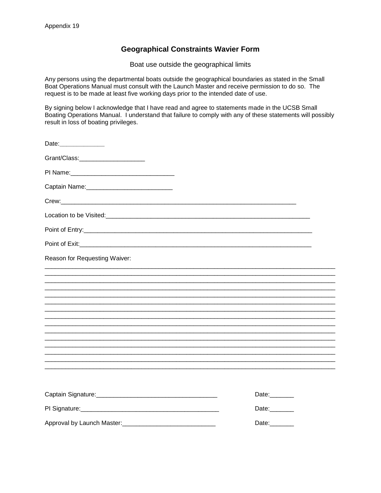### **Geographical Constraints Wavier Form**

Boat use outside the geographical limits

Any persons using the departmental boats outside the geographical boundaries as stated in the Small Boat Operations Manual must consult with the Launch Master and receive permission to do so. The request is to be made at least five working days prior to the intended date of use.

By signing below I acknowledge that I have read and agree to statements made in the UCSB Small Boating Operations Manual. I understand that failure to comply with any of these statements will possibly result in loss of boating privileges.

| Date:________________                         |       |
|-----------------------------------------------|-------|
| Grant/Class:_________________________         |       |
|                                               |       |
| Captain Name: _______________________________ |       |
|                                               |       |
|                                               |       |
|                                               |       |
|                                               |       |
| Reason for Requesting Waiver:                 |       |
|                                               |       |
|                                               |       |
|                                               |       |
|                                               |       |
|                                               |       |
|                                               |       |
|                                               |       |
|                                               |       |
|                                               |       |
|                                               | Date: |
|                                               | Date: |
|                                               | Date: |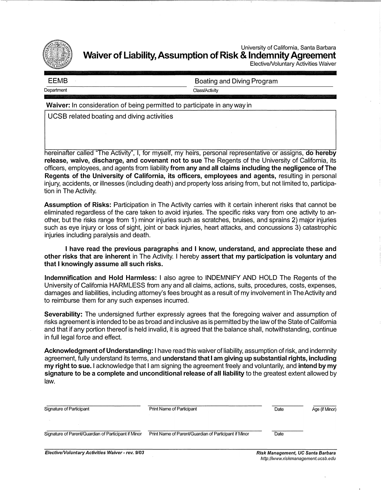

University of California, Santa Barbara **Waiver of Liability, Assumption of Risk & Indemnity Agreement** 

ElectiveNoluntary Activities Waiver

| EEMB       | Boating and Diving Program |
|------------|----------------------------|
| Department | Class/Activity             |

**Waiver:** In consideration of being permitted to participate in any way in

UCSB related boating and diving activities

hereinafter called "The Activity", I, for myself, my heirs, personal representative or assigns, **do hereby release, waive, discharge, and covenant not to sue** The Regents of the University of California, its officers, employees, and agents from liability **from any and all claims including the negligence of The Regents of the University of California, its officers, employees and agents,** resulting in personal injury, accidents, or illnesses (including death) and property loss arising from, but not limited to, participation in The Activity.

**Assumption of Risks:** Participation in The Activity carries with it certain inherent risks that cannot be eliminated regardless of the care taken to avoid injuries. The specific risks vary from one activity to another, but the risks range from 1) minor injuries such as scratches, bruises, and sprains 2) major injuries such as eye injury or loss of sight, joint or back injuries, heart attacks, and concussions 3) catastrophic injuries including paralysis and death.

I **have read the previous paragraphs and** I **know, understand, and appreciate these and other risks that are inherent** in The Activity. I hereby **assert that my participation is voluntary and that** I **knowingly assume all such risks.** 

**Indemnification and Hold Harmless:** I also agree to INDEMNIFY AND HOLD The Regents of the University of California HARMLESS from any and all claims, actions, suits, procedures, costs, expenses, damages and liabilities, including attorney's fees brought as a result of my involvement in The Activity and to reimburse them for any such expenses incurred.

**Severability:** The undersigned further expressly agrees that the foregoing waiver and assumption of risks agreement is intended to be as broad and inclusive as is permitted by the law of the State of California and that if any portion thereof is held invalid, it is agreed that the balance shall, notwithstanding, continue in full legal force and effect.

**Acknowledgment of Understanding:** I have read this waiver of liability, assumption of risk, and indemnity agreement, fully understand its terms, and **understand that** I **am giving up substantial rights, including my right to sue.** I acknowledge that I am signing the agreement freely and voluntarily, and **intend by my signature to be a complete and unconditional release of all liability** to the greatest extent allowed by law.

| Signature of Participant                             | Print Name of Participant                             | Date                                     | Age (if Minor) |
|------------------------------------------------------|-------------------------------------------------------|------------------------------------------|----------------|
| Signature of Parent/Guardian of Participant if Minor | Print Name of Parent/Guardian of Participant if Minor | Date                                     |                |
| Elective Maluntary Activities Waiver roy 0/02        |                                                       | <b>Dick Monogoment, UC Sente Derhoro</b> |                |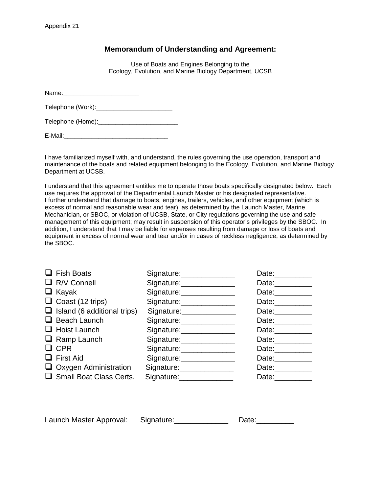### **Memorandum of Understanding and Agreement:**

Use of Boats and Engines Belonging to the Ecology, Evolution, and Marine Biology Department, UCSB

Name:\_\_\_\_\_\_\_\_\_\_\_\_\_\_\_\_\_\_\_\_\_\_

Telephone (Work):\_\_\_\_\_\_\_\_\_\_\_\_\_\_\_\_\_\_\_\_\_\_

Telephone (Home):\_\_\_\_\_\_\_\_\_\_\_\_\_\_\_\_\_\_\_\_\_\_\_

E-Mail:\_\_\_\_\_\_\_\_\_\_\_\_\_\_\_\_\_\_\_\_\_\_\_\_\_\_\_\_\_\_

I have familiarized myself with, and understand, the rules governing the use operation, transport and maintenance of the boats and related equipment belonging to the Ecology, Evolution, and Marine Biology Department at UCSB.

I understand that this agreement entitles me to operate those boats specifically designated below. Each use requires the approval of the Departmental Launch Master or his designated representative. I further understand that damage to boats, engines, trailers, vehicles, and other equipment (which is excess of normal and reasonable wear and tear), as determined by the Launch Master, Marine Mechanician, or SBOC, or violation of UCSB, State, or City regulations governing the use and safe management of this equipment; may result in suspension of this operator's privileges by the SBOC. In addition, I understand that I may be liable for expenses resulting from damage or loss of boats and equipment in excess of normal wear and tear and/or in cases of reckless negligence, as determined by the SBOC.

| Fish Boats                         | Signature: ______________  | Date: Date:         |
|------------------------------------|----------------------------|---------------------|
| $\Box$ R/V Connell                 | Signature: Signature:      | Date: Date:         |
| $\Box$ Kayak                       | Signature: Signature:      | Date:__________     |
| $\Box$ Coast (12 trips)            | Signature: Signature:      | Date: $\frac{1}{2}$ |
| $\Box$ Island (6 additional trips) | Signature: ______________  | Date: 2004          |
| $\Box$ Beach Launch                | Signature: _______________ | Date: Date:         |
| $\Box$ Hoist Launch                | Signature: _______________ | Date: __________    |
| $\Box$ Ramp Launch                 | Signature: _______________ | Date:__________     |
| $\Box$ CPR                         | Signature: _______________ | Date: Date:         |
| $\Box$ First Aid                   | Signature: _______________ | Date: Date:         |
| $\Box$ Oxygen Administration       | Signature: _______________ | Date:               |
| $\Box$ Small Boat Class Certs.     | Signature:                 | Date:               |

| Launch Master Approval: | Signature: | Date: |
|-------------------------|------------|-------|
|                         |            |       |